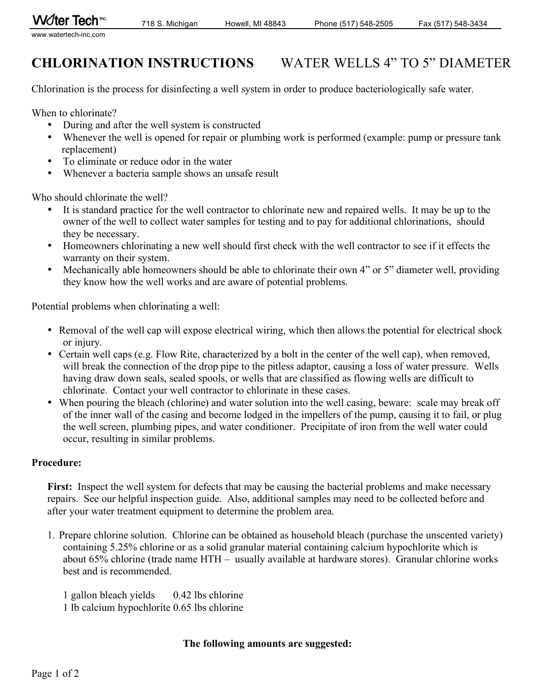# **CHLORINATION INSTRUCTIONS** WATER WELLS 4" TO 5" DIAMETER

Chlorination is the process for disinfecting a well system in order to produce bacteriologically safe water.

When to chlorinate?

- During and after the well system is constructed
- Whenever the well is opened for repair or plumbing work is performed (example: pump or pressure tank replacement)
- To eliminate or reduce odor in the water
- Whenever a bacteria sample shows an unsafe result

Who should chlorinate the well?

- It is standard practice for the well contractor to chlorinate new and repaired wells. It may be up to the owner of the well to collect water samples for testing and to pay for additional chlorinations, should they be necessary.
- Homeowners chlorinating a new well should first check with the well contractor to see if it effects the warranty on their system.
- Mechanically able homeowners should be able to chlorinate their own 4" or 5" diameter well, providing they know how the well works and are aware of potential problems.

Potential problems when chlorinating a well:

- Removal of the well cap will expose electrical wiring, which then allows the potential for electrical shock or injury.
- Certain well caps (e.g. Flow Rite, characterized by a bolt in the center of the well cap), when removed, will break the connection of the drop pipe to the pitless adaptor, causing a loss of water pressure. Wells having draw down seals, sealed spools, or wells that are classified as flowing wells are difficult to chlorinate. Contact your well contractor to chlorinate in these cases.
- When pouring the bleach (chlorine) and water solution into the well casing, beware: scale may break off of the inner wall of the casing and become lodged in the impellers of the pump, causing it to fail, or plug the well screen, plumbing pipes, and water conditioner. Precipitate of iron from the well water could occur, resulting in similar problems.

# **Procedure:**

First: Inspect the well system for defects that may be causing the bacterial problems and make necessary repairs. See our helpful inspection guide. Also, additional samples may need to be collected before and after your water treatment equipment to determine the problem area.

1. Prepare chlorine solution. Chlorine can be obtained as household bleach (purchase the unscented variety) containing 5.25% chlorine or as a solid granular material containing calcium hypochlorite which is about 65% chlorine (trade name HTH – usually available at hardware stores). Granular chlorine works best and is recommended.

1 gallon bleach yields 0.42 lbs chlorine 1 lb calcium hypochlorite 0.65 lbs chlorine

### **The following amounts are suggested:**